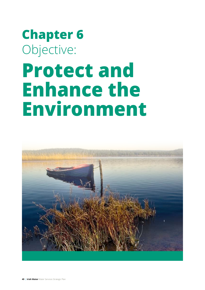# **Chapter 6** Objective: **Protect and Enhance the** Environment

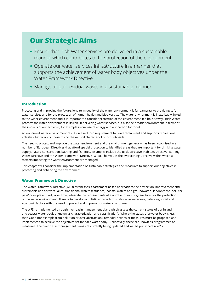# **Our Strategic Aims**

- Ensure that Irish Water services are delivered in a sustainable manner which contributes to the protection of the environment.
- Operate our water services infrastructure in a manner that supports the achievement of water body objectives under the Water Framework Directive.
- Manage all our residual waste in a sustainable manner.

## **Introduction**

Protecting and improving the future, long term quality of the water environment is fundamental to providing safe water services and for the protection of human health and biodiversity. The water environment is inextricably linked to the wider environment and it is important to consider protection of the environment in a holistic way. Irish Water protects the water environment in its role in delivering water services, but also the broader environment in terms of the impacts of our activities, for example in our use of energy and our carbon footprint.

An enhanced water environment results in a reduced requirement for water treatment and supports recreational activities, biodiversity, tourism and the natural character of our countryside.

The need to protect and improve the water environment and the environment generally has been recognised in a number of European Directives that afford special protection to identified areas that are important for drinking water supply, nature conservation, bathing and fisheries. Examples include the Birds Directive, Habitats Directive, Bathing Water Directive and the Water Framework Directive (WFD). The WFD is the overarching Directive within which all matters impacting the water environment are managed.

This chapter will consider the implementation of sustainable strategies and measures to support our objectives in protecting and enhancing the environment.

#### **Water Framework Directive**

The Water Framework Directive (WFD) establishes a catchment based approach to the protection, improvement and sustainable use of rivers, lakes, transitional waters (estuaries), coastal waters and groundwater. It adopts the 'polluter pays' principle and will, over time, integrate the requirements of a number of existing directives for the protection of the water environment. It seeks to develop a holistic approach to sustainable water use, balancing social and economic factors with the need to protect and improve our water environment.

The WFD is implemented through river basin management plans which assess the current status of our inland and coastal water bodies (known as characterisation and classification). Where the status of a water body is less than Good (for example from pollution or over-abstraction), remedial actions or measures must be proposed and implemented to achieve the objectives set for each water body. Collectively, these are known as programmes of measures. The river basin management plans are currently being updated and will be published in 2017.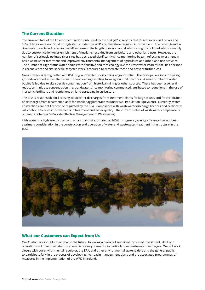#### **The Current Situation**

The current State of the Environment Report published by the EPA (2012) reports that 29% of rivers and canals and 53% of lakes were not Good or High status under the WFD and therefore required improvement. The recent trend in river water quality indicates an overall increase in the length of river channel which is slightly polluted which is mainly due to eutrophication (over-enrichment of nutrients resulting from agriculture and other land use). However, the number of seriously polluted river sites has decreased significantly since monitoring began, reflecting investment in basic wastewater treatment and improved environmental management of agriculture and other land use activities. The number of High status water bodies with sensitive and rare ecology like the Freshwater Pearl Mussel has declined in recent years and site specific, targeted work is required to remediate these and prevent further loss.

Groundwater is faring better with 85% of groundwater bodies being at good status. The principal reasons for failing groundwater bodies resulted from nutrient loading resulting from agricultural practices. A small number of water bodies failed due to site specific contamination from historical mining or other sources. There has been a general reduction in nitrate concentration in groundwater since monitoring commenced, attributed to reductions in the use of inorganic fertilisers and restrictions on land spreading in agriculture.

The EPA is responsible for licensing wastewater discharges from treatment plants for large towns, and for certification of discharges from treatment plants for smaller agglomerations (under 500 Population Equivalent). Currently, water abstractions are not licenced or regulated by the EPA. Compliance with wastewater discharge licences and certificates will continue to drive improvements in treatment and water quality. The current status of wastewater compliance is outlined in Chapter 5 (Provide Effective Management of Wastewater).

Irish Water is a high energy user with an annual cost estimated at €60M. In general, energy efficiency has not been a primary consideration in the construction and operation of water and wastewater treatment infrastructure in the past.



#### **What our Customers can Expect from Us**

Our Customers should expect that in the future, following a period of sustained increased investment, all of our operations will meet their statutory compliance requirements, in particular our wastewater discharges. We will work closely with our environmental regulator, the EPA, and other environmental stakeholders and the general public to participate fully in the process of developing river basin management plans and the associated programmes of measures in the implementation of the WFD in Ireland.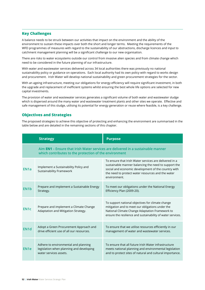#### **Key Challenges**

A balance needs to be struck between our activities that impact on the environment and the ability of the environment to sustain these impacts over both the short and longer terms. Meeting the requirements of the WFD programmes of measures with regard to the sustainability of our abstractions, discharge licences and input to catchment management planning will be a significant challenge to our new organisation.

There are risks to water ecosystems outside our control from invasive alien species and from climate change which need to be considered in the future planning of our infrastructure.

With water and wastewater services delivered across 34 local authorities there was previously no national sustainability policy or guidance on operations. Each local authority had its own policy with regard to works design and procurement. Irish Water will develop national sustainability and green procurement strategies for the sector.

With an ageing infrastructure, meeting our obligations for energy efficiency will require significant investment, in both the upgrade and replacement of inefficient systems whilst ensuring the best whole life options are selected for new capital investments.

The provision of water and wastewater services generates a significant volume of both water and wastewater sludge which is dispersed around the many water and wastewater treatment plants and other sites we operate. Effective and safe management of this sludge, utilising its potential for energy generation or reuse where feasible, is a key challenge.

#### **Objectives and Strategies**

The proposed strategies to achieve this objective of protecting and enhancing the environment are summarised in the table below and are detailed in the remaining sections of this chapter.

|                   | <b>Strategy</b>                                                                                                                                   | <b>Purpose</b>                                                                                                                                                                                                                             |  |  |  |
|-------------------|---------------------------------------------------------------------------------------------------------------------------------------------------|--------------------------------------------------------------------------------------------------------------------------------------------------------------------------------------------------------------------------------------------|--|--|--|
|                   | Aim <b>EN1</b> - Ensure that Irish Water services are delivered in a sustainable manner<br>which contributes to the protection of the environment |                                                                                                                                                                                                                                            |  |  |  |
| EN <sub>1</sub> a | Implement a Sustainability Policy and<br>Sustainability Framework                                                                                 | To ensure that Irish Water services are delivered in a<br>sustainable manner balancing the need to support the<br>social and economic development of the country with<br>the need to protect water resources and the water<br>environment. |  |  |  |
| EN <sub>1</sub> b | Prepare and implement a Sustainable Energy<br>Strategy.                                                                                           | To meet our obligations under the National Energy<br>Efficiency Plan (2009-20).                                                                                                                                                            |  |  |  |
| EN <sub>1</sub> c | Prepare and implement a Climate Change<br>Adaptation and Mitigation Strategy.                                                                     | To support national objectives for climate change<br>mitigation and to meet our obligations under the<br>National Climate Change Adaptation Framework to<br>ensure the resilience and sustainability of water services.                    |  |  |  |
| EN <sub>1</sub> d | Adopt a Green Procurement Approach and<br>drive efficient use of all our resources.                                                               | To ensure that we utilise resources efficiently in our<br>management of water and wastewater services.                                                                                                                                     |  |  |  |
| EN <sub>1e</sub>  | Adhere to environmental and planning<br>legislation when planning and developing<br>water services assets.                                        | To ensure that all future Irish Water infrastructure<br>meets national planning and environmental legislation<br>and to protect sites of natural and cultural importance.                                                                  |  |  |  |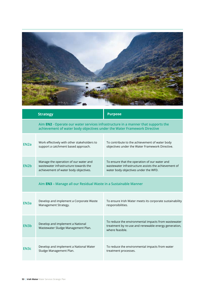

|                   | <b>Strategy</b>                                                                                                                                               | <b>Purpose</b>                                                                                                                                |  |  |  |
|-------------------|---------------------------------------------------------------------------------------------------------------------------------------------------------------|-----------------------------------------------------------------------------------------------------------------------------------------------|--|--|--|
|                   | Aim EN2 - Operate our water services infrastructure in a manner that supports the<br>achievement of water body objectives under the Water Framework Directive |                                                                                                                                               |  |  |  |
| EN <sub>2a</sub>  | Work effectively with other stakeholders to<br>support a catchment based approach.                                                                            | To contribute to the achievement of water body<br>objectives under the Water Framework Directive.                                             |  |  |  |
| EN <sub>2</sub> b | Manage the operation of our water and<br>wastewater infrastructure towards the<br>achievement of water body objectives.                                       | To ensure that the operation of our water and<br>wastewater infrastructure assists the achievement of<br>water body objectives under the WFD. |  |  |  |
|                   | Aim <b>EN3</b> - Manage all our Residual Waste in a Sustainable Manner                                                                                        |                                                                                                                                               |  |  |  |
| EN <sub>3a</sub>  | Develop and implement a Corporate Waste<br>Management Strategy.                                                                                               | To ensure Irish Water meets its corporate sustainability<br>responsibilities.                                                                 |  |  |  |
| EN <sub>3</sub> b | Develop and implement a National<br>Wastewater Sludge Management Plan.                                                                                        | To reduce the environmental impacts from wastewater<br>treatment by re-use and renewable energy generation,<br>where feasible.                |  |  |  |
| EN <sub>3</sub> c | Develop and implement a National Water<br>Sludge Management Plan.                                                                                             | To reduce the environmental impacts from water<br>treatment processes.                                                                        |  |  |  |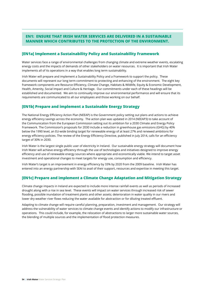# **EN1: ENSURE THAT IRISH WATER SERVICES ARE DELIVERED IN A SUSTAINABLE MANNER WHICH CONTRIBUTES TO THE PROTECTION OF THE ENVIRONMENT.**

### [EN1a] Implement a Sustainability Policy and Sustainability Framework

Water services face a range of environmental challenges from changing climate and extreme weather events, escalating energy costs and the impacts of demands of other stakeholders on water resources. It is important that Irish Water implements all of its operations in a way that enables long term sustainability.

Irish Water will prepare and implement a Sustainability Policy and a Framework to support the policy. These documents will represent our long term commitment to protecting and enhancing of the environment. The eight key framework components are Resource Efficiency, Climate Change, Habitats & Wildlife, Equity & Economic Development, Health, Amenity, Social Impact and Culture & Heritage. Our commitments under each of these headings will be established and documented. We aim to continually improve our environmental performance and will ensure that its requirements are communicated to all our employees and those working on our behalf.

### [EN1b] Prepare and implement a Sustainable Energy Strategy

The National Energy Efficiency Action Plan (NEEAP) is the Government policy setting out plans and actions to achieve energy efficiency sayings across the economy. The action plan was updated in 2014 (NEEAP3) to take account of the Communication from the European Commission setting out its ambition for a 2030 Climate and Energy Policy Framework. The Commission's proposals for 2030 include a reduction in greenhouse gas emissions (GHG) by 40% below the 1990 level, an EU-wide binding target for renewable energy of at least 27% and renewed ambitions for energy efficiency policies. The review of the Energy Efficiency Directive, published in July 2014, calls for an efficiency target of 30% in 2030.

Irish Water is the largest single public user of electricity in Ireland. Our sustainable energy strategy will document how Irish Water will achieve energy efficiency through the use of technologies and initiatives designed to improve energy efficiency and use of renewable energy sources where appropriate and economically viable. We intend to target asset investment and operational changes to meet targets for energy use, consumption and efficiency.

Irish Water's target is an improvement in energy efficiency by 33% by 2020 from the 2009 baseline. Irish Water has entered into an energy partnership with SEAI to avail of their support, resources and expertise in meeting this target.

### [EN1c] Prepare and implement a Climate Change Adaptation and Mitigation Strategy

Climate change impacts in Ireland are expected to include more intense rainfall events as well as periods of increased drought along with a rise in sea level. These events will impact on water services through increased risk of sewer flooding, possible inundation of treatment plants and other assets; deterioration in water quality in our rivers and lower dry weather river flows reducing the water available for abstraction or for diluting treated effluent.

Adapting to climate change will require careful planning, preparation, investment and management. Our strategy will address the vulnerability of water services to climate change events and identify actions to modify our infrastructure or operations. This could include, for example, the relocation of abstractions to larger more sustainable water sources, the blending of multiple sources and the implementation of flood protection measures.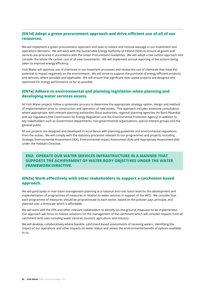# [EN1d] Adopt a green procurement approach and drive efficient use of all of our resources.

We will implement a 'green procurement' approach and seek to reduce and remove wastage in our investment and operations decisions. We will work with the Sustainable Energy Authority of Ireland (SEAI) to ensure all goods and services are procured in accordance with the Green Procurement Guidelines. We will adopt a low carbon approach and consider the whole life carbon cost of all new investments. We will implement annual reporting of the actions being taken to improve energy efficiency.

Irish Water will optimise use of chemicals in our treatment processes and review the use of chemicals that have the potential to impact negatively on the environment. We will strive to support the purchase of energy-efficient products and services, where possible and applicable. We will ensure that significant new capital projects are designed and optimised for energy performance as far as possible.

# [EN1e] Adhere to environmental and planning legislation when planning and developing water services assets.

All Irish Water projects follow a systematic process to determine the appropriate strategy, option, design and method of implementation prior to construction and operation of new assets. This approach includes extensive consultation, where appropriate, with relevant planning authorities (local authorities, regional planning agencies, An Bord Pleanála) and our regulators (the Commission for Energy Regulation and the Environmental Protection Agency) in addition to key stakeholders such as Government departments, non-governmental organisations, special interest groups and the general public.

All our projects are designed and developed in accordance with planning guidelines and environmental regulations from the outset. We will comply with the statutory processes relevant to our programmes and projects, including Strategic Environmental Assessment (SEA), Environmental Impact Assessment (EIA) and Appropriate Assessment (AA) under the Habitat's Directive

# **EN2: OPERATE OUR WATER SERVICES INFRASTRUCTURE IN A MANNER THAT** SUPPORTS THE ACHIEVEMENT OF WATER BODY OBJECTIVES UNDER THE WATER **FRAMEWORK DIRECTIVE.**

# [EN2a] Work effectively with other stakeholders to support a catchment based approach.

We will participate in river basin management planning at a national and river basin level for the development and implementation of programmes of measures in relation to water services in support of the WFD. We consider that each programme of measures should be proportionate to each sector, based on the polluter pays principle, and planned over a timescale which is affordable.

We will work with the EPA and other relevant stakeholders to identify 'on-the-ground' measures to be implemented. Our approach will focus on holistic solutions for the management of the catchment which will consider impacts from all catchment land uses including water services, tourism, agriculture and industry.

We will develop, collaboratively where feasible, catchment based assessments of receiving waters, identifying the impact of our operations and other impacts on water status and assess the environmental benefit of options available to us.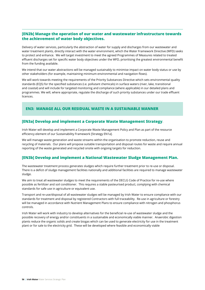# [EN2b] Manage the operation of our water and wastewater infrastructure towards the achievement of water body objectives.

Delivery of water services, particularly the abstraction of water for supply and discharges from our wastewater and water treatment plants, directly interact with the water environment, which the Water Framework Directive (WFD) seeks to protect and enhance. We will target investment to meet the agreed Programmes of Measures related to treated effluent discharges set for specific water body objectives under the WFD, prioritising the greatest environmental benefit from the funding available.

We intend that our water abstractions will be managed sustainably to minimise impact on water body status or use by other stakeholders (for example, maintaining minimum environmental and navigation flows).

We will work towards meeting the requirements of the Priority Substances Directive which sets environmental quality standards (EQS) for the specified substances (i.e. pollutant chemicals) in surface waters (river, lake, transitional and coastal) and will include for targeted monitoring and compliance (where applicable) in our detailed plans and programmes. We will, where appropriate, regulate the discharge of such priority substances under our trade effluent licences.

# **EN3: MANAGE ALL OUR RESIDUAL WASTE IN A SUSTAINABLE MANNER**

#### [EN3a] Develop and implement a Corporate Waste Management Strategy.

Irish Water will develop and implement a Corporate Waste Management Policy and Plan as part of the resource efficiency element of our Sustainability Framework [Strategy EN1a].

We will manage waste generation and waste streams within the organisation to promote reduction, reuse and recycling of materials. Our plans will propose suitable transportation and disposal routes for waste and require annual reporting of the waste generated and recycled onsite with ongoing targets for reduction.

### [EN3b] Develop and implement a National Wastewater Sludge Management Plan.

The wastewater treatment process generates sludges which require further treatment prior to re-use or disposal. There is a deficit of sludge management facilities nationally and additional facilities are required to manage wastewater sludge.

We aim to treat all wastewater sludges to meet the requirements of the DECLG Code of Practice for re-use where possible as fertilizer and soil conditioner. This requires a stable pasteurised product, complying with chemical standards for safe use in agriculture or equivalent use.

Transport and re-use/disposal of all wastewater sludges will be managed by Irish Water to ensure compliance with our standards for treatment and disposal by registered Contractors with full traceability. Re-use in agriculture or forestry will be managed in accordance with Nutrient Management Plans to ensure compliance with nitrogen and phosphorus controls.

Irish Water will work with industry to develop alternatives for the beneficial re-use of wastewater sludge and the possible recovery of energy and/or constituents in a sustainable and economically viable manner. Anaerobic digestion plants reduce the organic solids and create biogas which can be used to generate electricity for use in the treatment plant or for sale to the electricity grid. These will be developed where feasible and economically viable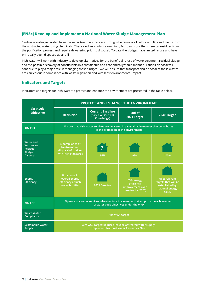# [EN3c] Develop and implement a National Water Sludge Management Plan.

Sludges are also generated from the water treatment process through the removal of colour and fine sediments from the abstracted water using chemicals. These sludges contain aluminium, ferric salts or other chemical residues from the purification process and require dewatering prior to disposal. To date the sludges have limited re-use and have principally been disposed at landfill.

Irish Water will work with industry to develop alternatives for the beneficial re-use of water treatment residual sludge and the possible recovery of constituents in a sustainable and economically viable manner. Landfill disposal will continue to play a major role in managing these sludges. We will ensure that transport and disposal of these wastes are carried out in compliance with waste legislation and with least environmental impact.

# **Indicators and Targets**

Indicators and targets for Irish Water to protect and enhance the environment are presented in the table below.

|                                                                                | <b>PROTECT AND ENHANCE THE ENVIRONMENT</b>                                                                                      |                                                            |                                                                    |                                                                                             |  |
|--------------------------------------------------------------------------------|---------------------------------------------------------------------------------------------------------------------------------|------------------------------------------------------------|--------------------------------------------------------------------|---------------------------------------------------------------------------------------------|--|
| <b>Strategic</b><br><b>Objective</b>                                           | <b>Definition</b>                                                                                                               | <b>Current Baseline</b><br>(Based on Current<br>Knowledge) | <b>End of</b><br>2021 Target                                       | 2040 Target                                                                                 |  |
| <b>AIM EN1</b>                                                                 | Ensure that Irish Water services are delivered in a sustainable manner that contributes<br>to the protection of the environment |                                                            |                                                                    |                                                                                             |  |
| <b>Water and</b><br>Wastewater<br><b>Residual</b><br>Sludge<br><b>Disposal</b> | % compliance of<br>treatment and<br>disposal of sludges<br>with Irish Standards                                                 | 96%                                                        | 99%                                                                | 100%                                                                                        |  |
| <b>Energy</b><br>Efficiency                                                    | % increase in<br>overall energy<br>efficiency at Irish<br><b>Water facilities</b>                                               | 2009 Baseline                                              | 33% energy<br>efficiency<br>improvement over<br>baseline by (2020) | <b>Meet relevant</b><br>targets that will be<br>established by<br>national energy<br>policy |  |
| <b>AIM EN2</b>                                                                 | Operate our water services infrastructure in a manner that supports the achievement<br>of water body objectives under the WFD   |                                                            |                                                                    |                                                                                             |  |
| <b>Waste Water</b><br>Compliance                                               | Aim WW1 target                                                                                                                  |                                                            |                                                                    |                                                                                             |  |
| <b>Sustainable Water</b><br><b>Supply</b>                                      | Aim WS3 Target: Reduced leakage of treated water supply.<br>Implement National Water Resources Plan.                            |                                                            |                                                                    |                                                                                             |  |